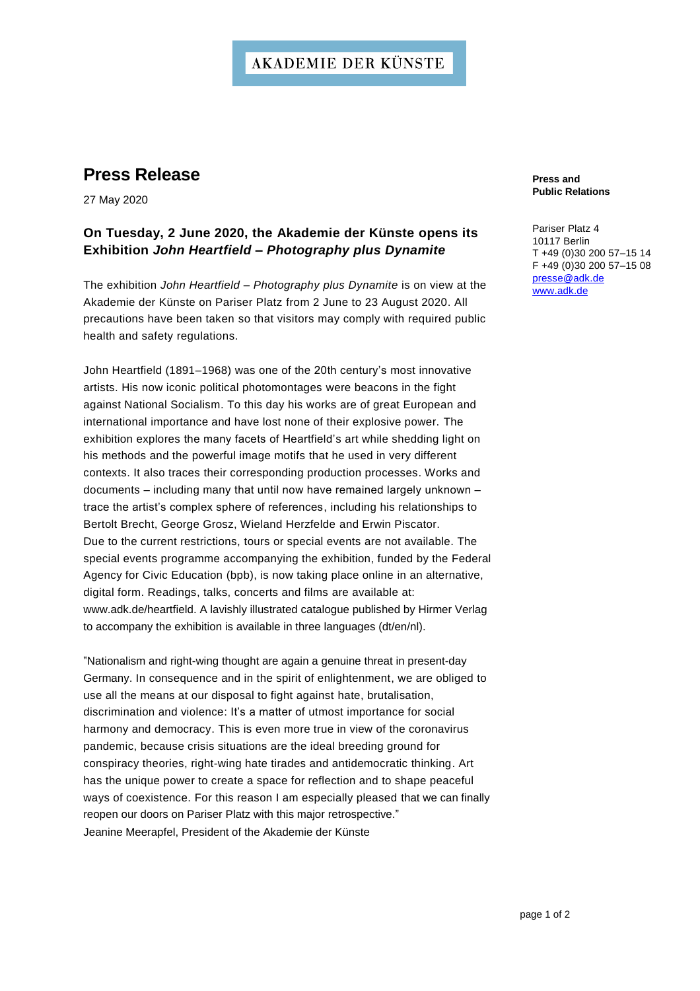## **AKADEMIE DER KÜNSTE**

## **Press Release**

27 May 2020

### **On Tuesday, 2 June 2020, the Akademie der Künste opens its Exhibition** *John Heartfield – Photography plus Dynamite*

The exhibition *John Heartfield – Photography plus Dynamite* is on view at the Akademie der Künste on Pariser Platz from 2 June to 23 August 2020. All precautions have been taken so that visitors may comply with required public health and safety regulations.

John Heartfield (1891–1968) was one of the 20th century's most innovative artists. His now iconic political photomontages were beacons in the fight against National Socialism. To this day his works are of great European and international importance and have lost none of their explosive power. The exhibition explores the many facets of Heartfield's art while shedding light on his methods and the powerful image motifs that he used in very different contexts. It also traces their corresponding production processes. Works and documents - including many that until now have remained largely unknown trace the artist's complex sphere of references, including his relationships to Bertolt Brecht, George Grosz, Wieland Herzfelde and Erwin Piscator. Due to the current restrictions, tours or special events are not available. The special events programme accompanying the exhibition, funded by the Federal Agency for Civic Education (bpb), is now taking place online in an alternative, digital form. Readings, talks, concerts and films are available at: [www.adk.de/heartfield.](http://www.adk.de/heartfield) A lavishly illustrated catalogue published by Hirmer Verlag to accompany the exhibition is available in three languages (dt/en/nl).

"Nationalism and right-wing thought are again a genuine threat in present-day Germany. In consequence and in the spirit of enlightenment, we are obliged to use all the means at our disposal to fight against hate, brutalisation, discrimination and violence: It's a matter of utmost importance for social harmony and democracy. This is even more true in view of the coronavirus pandemic, because crisis situations are the ideal breeding ground for conspiracy theories, right-wing hate tirades and antidemocratic thinking. Art has the unique power to create a space for reflection and to shape peaceful ways of coexistence. For this reason I am especially pleased that we can finally reopen our doors on Pariser Platz with this major retrospective." Jeanine Meerapfel, President of the Akademie der Künste

**Press and Public Relations**

Pariser Platz 4 10117 Berlin T +49 (0)30 200 57–15 14 F +49 (0)30 200 57–15 08 [presse@adk.de](mailto:presse@adk.de) [www.adk.de](http://www.adk.de/)